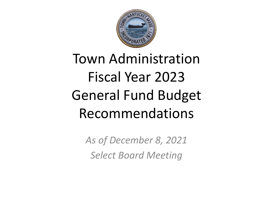

# Town Administration Fiscal Year 2023 General Fund Budget Recommendations

*As of December 8, 2021 Select Board Meeting*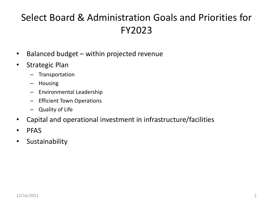# Select Board & Administration Goals and Priorities for FY2023

- Balanced budget within projected revenue
- Strategic Plan
	- Transportation
	- Housing
	- Environmental Leadership
	- Efficient Town Operations
	- Quality of Life
- Capital and operational investment in infrastructure/facilities
- PFAS
- Sustainability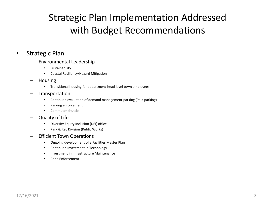# Strategic Plan Implementation Addressed with Budget Recommendations

#### • Strategic Plan

- Environmental Leadership
	- Sustainability
	- Coastal Resiliency/Hazard Mitigation
- Housing
	- Transitional housing for department-head level town employees
- **Transportation** 
	- Continued evaluation of demand management parking (Paid parking)
	- Parking enforcement
	- Commuter shuttle
- Quality of Life
	- Diversity Equity Inclusion (DEI) office
	- Park & Rec Division (Public Works)
- Efficient Town Operations
	- Ongoing development of a Facilities Master Plan
	- Continued Investment in Technology
	- Investment in Infrastructure Maintenance
	- Code Enforcement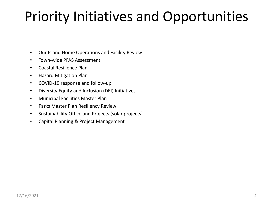# Priority Initiatives and Opportunities

- Our Island Home Operations and Facility Review
- Town-wide PFAS Assessment
- Coastal Resilience Plan
- Hazard Mitigation Plan
- COVID-19 response and follow-up
- Diversity Equity and Inclusion (DEI) Initiatives
- Municipal Facilities Master Plan
- Parks Master Plan Resiliency Review
- Sustainability Office and Projects (solar projects)
- Capital Planning & Project Management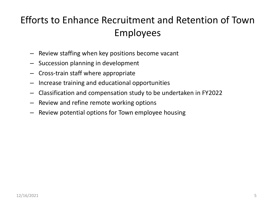# Efforts to Enhance Recruitment and Retention of Town Employees

- Review staffing when key positions become vacant
- Succession planning in development
- Cross-train staff where appropriate
- Increase training and educational opportunities
- Classification and compensation study to be undertaken in FY2022
- Review and refine remote working options
- Review potential options for Town employee housing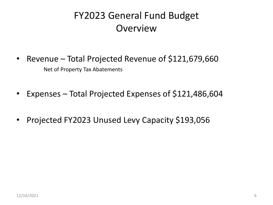# FY2023 General Fund Budget **Overview**

- Revenue Total Projected Revenue of \$121,679,660 Net of Property Tax Abatements
- Expenses Total Projected Expenses of \$121,486,604
- Projected FY2023 Unused Levy Capacity \$193,056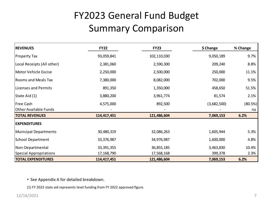# FY2023 General Fund Budget Summary Comparison

| <b>REVENUES</b>               | <b>FY22</b>  | <b>FY23</b> | \$ Change   | % Change |
|-------------------------------|--------------|-------------|-------------|----------|
| <b>Property Tax</b>           | 93,059,841   | 102,110,030 | 9,050,189   | 9.7%     |
| Local Receipts (All other)    | 2,381,060    | 2,590,300   | 209,240     | 8.8%     |
| Motor Vehicle Excise          | 2,250,000    | 2,500,000   | 250,000     | 11.1%    |
| <b>Rooms and Meals Tax</b>    | 7,380,000    | 8,082,000   | 702,000     | 9.5%     |
| Licenses and Permits          | 891,350      | 1,350,000   | 458,650     | 51.5%    |
| State Aid (1)                 | 3,880,200    | 3,961,774   | 81,574      | 2.1%     |
| <b>Free Cash</b>              | 4,575,000    | 892,500     | (3,682,500) | (80.5%)  |
| <b>Other Available Funds</b>  |              |             |             | na       |
| <b>TOTAL REVENUES</b>         | 114,417,451  | 121,486,604 | 7,069,153   | 6.2%     |
| <b>EXPENDITURES</b>           |              |             |             |          |
| <b>Municipal Departments</b>  | 30,480,319   | 32,086,263  | 1,605,944   | 5.3%     |
| <b>School Department</b>      | 33,376,987   | 34,976,987  | 1,600,000   | 4.8%     |
| Non-Departmental              | 33, 391, 355 | 36,855,185  | 3,463,830   | 10.4%    |
| <b>Special Appropriations</b> | 17, 168, 790 | 17,568,168  | 399,378     | 2.3%     |
| <b>TOTAL EXPENDITURES</b>     | 114,417,451  | 121,486,604 | 7,069,153   | 6.2%     |

• See Appendix A for detailed breakdown.

(1) FY 2023 state aid represents level funding from FY 2022 approved figure.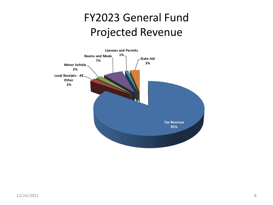# FY2023 General Fund Projected Revenue

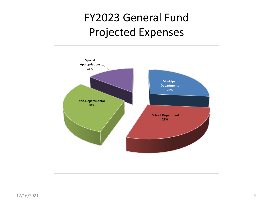# FY2023 General Fund Projected Expenses

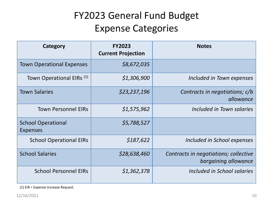# FY2023 General Fund Budget Expense Categories

| Category                                     | <b>FY2023</b><br><b>Current Projection</b> | <b>Notes</b>                                                  |
|----------------------------------------------|--------------------------------------------|---------------------------------------------------------------|
| <b>Town Operational Expenses</b>             | \$8,672,035                                |                                                               |
| Town Operational EIRs <sup>(1)</sup>         | \$1,306,900                                | Included in Town expenses                                     |
| <b>Town Salaries</b>                         | \$23,237,196                               | Contracts in negotiations; c/b<br>allowance                   |
| <b>Town Personnel EIRs</b>                   | \$1,575,962                                | Included in Town salaries                                     |
| <b>School Operational</b><br><b>Expenses</b> | \$5,788,527                                |                                                               |
| <b>School Operational EIRs</b>               | \$187,622                                  | Included in School expenses                                   |
| <b>School Salaries</b>                       | \$28,638,460                               | Contracts in negotiations; collective<br>bargaining allowance |
| <b>School Personnel EIRs</b>                 | \$1,362,378                                | Included in School salaries                                   |

(1) EIR = Expense Increase Request.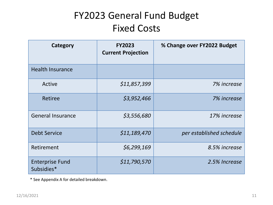# FY2023 General Fund Budget Fixed Costs

| Category                             | <b>FY2023</b><br><b>Current Projection</b> | % Change over FY2022 Budget |
|--------------------------------------|--------------------------------------------|-----------------------------|
| <b>Health Insurance</b>              |                                            |                             |
| Active                               | \$11,857,399                               | 7% increase                 |
| Retiree                              | \$3,952,466                                | 7% increase                 |
| <b>General Insurance</b>             | \$3,556,680                                | 17% increase                |
| <b>Debt Service</b>                  | \$11,189,470                               | per established schedule    |
| Retirement                           | \$6,299,169                                | 8.5% increase               |
| <b>Enterprise Fund</b><br>Subsidies* | \$11,790,570                               | 2.5% Increase               |

\* See Appendix A for detailed breakdown.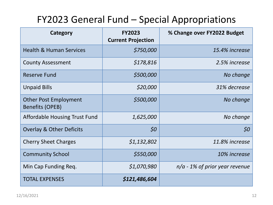## FY2023 General Fund – Special Appropriations

| Category                                               | <b>FY2023</b><br><b>Current Projection</b> | % Change over FY2022 Budget      |
|--------------------------------------------------------|--------------------------------------------|----------------------------------|
| <b>Health &amp; Human Services</b>                     | \$750,000                                  | 15.4% increase                   |
| <b>County Assessment</b>                               | \$178,816                                  | 2.5% increase                    |
| Reserve Fund                                           | \$500,000                                  | No change                        |
| <b>Unpaid Bills</b>                                    | \$20,000                                   | 31% decrease                     |
| <b>Other Post Employment</b><br><b>Benefits (OPEB)</b> | \$500,000                                  | No change                        |
| Affordable Housing Trust Fund                          | 1,625,000                                  | No change                        |
| <b>Overlay &amp; Other Deficits</b>                    | \$0                                        | 50                               |
| <b>Cherry Sheet Charges</b>                            | \$1,132,802                                | 11.8% increase                   |
| <b>Community School</b>                                | \$550,000                                  | 10% increase                     |
| Min Cap Funding Req.                                   | \$1,070,980                                | $n/a$ - 1% of prior year revenue |
| <b>TOTAL EXPENSES</b>                                  | \$121,486,604                              |                                  |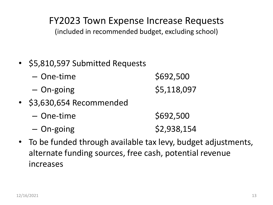#### FY2023 Town Expense Increase Requests

(included in recommended budget, excluding school)

- \$5,810,597 Submitted Requests
	- One-time \$692,500  $-$  On-going  $\frac{1}{5,118,097}$
- \$3,630,654 Recommended
	- One-time \$692,500  $-$  On-going  $\frac{1}{2}$   $\frac{1}{2}$   $\frac{1}{2}$   $\frac{1}{2}$   $\frac{1}{2}$   $\frac{1}{2}$   $\frac{1}{2}$   $\frac{1}{2}$   $\frac{1}{2}$   $\frac{1}{2}$   $\frac{1}{2}$   $\frac{1}{2}$   $\frac{1}{2}$   $\frac{1}{2}$   $\frac{1}{2}$   $\frac{1}{2}$   $\frac{1}{2}$   $\frac{1}{2}$   $\frac{1}{2}$   $\frac{1}{2}$   $\frac{1}{2}$
- To be funded through available tax levy, budget adjustments, alternate funding sources, free cash, potential revenue increases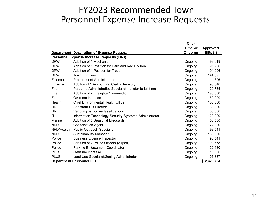#### FY2023 Recommended Town Personnel Expense Increase Requests

|             |                                                           | One-    |                 |
|-------------|-----------------------------------------------------------|---------|-----------------|
|             |                                                           | Time or | <b>Approved</b> |
|             | Department Description of Expense Request                 | Ongoing | EIRs(1)         |
|             | Personnel Expense Increase Requests (EIRs)                |         |                 |
| <b>DPW</b>  | Addition of 1 Mechanic                                    | Ongoing | 99,019          |
| <b>DPW</b>  | Addition of 1 Position for Park and Rec Division          | Ongoing | 91,906          |
| <b>DPW</b>  | Addition of 1 Position for Trees                          | Ongoing | 91,906          |
| <b>DPW</b>  | Town Engineer                                             | Ongoing | 144,695         |
| Finance     | <b>Procurement Administrator</b>                          | Ongoing | 114,696         |
| Finance     | Additon of 1 Accounting Clerk - Treasury                  | Ongoing | 98,540          |
| Fire        | Part time Administrative Specialist transfer to full-time | Ongoing | 29,785          |
| Fire        | Addition of 2 Firefighter/Paramedic                       | Ongoing | 190,800         |
| Fire        | Overtime increase                                         | Ongoing | 50,000          |
| Health      | <b>Chief Environmental Health Officer</b>                 | Ongoing | 153,000         |
| <b>HR</b>   | <b>Assistant HR Director</b>                              | Ongoing | 133,000         |
| HR.         | Various position reclassifications                        | Ongoing | 55,000          |
| ΙT          | Information Technology Security Systems Administrator     | Ongoing | 122,920         |
| Marine      | Addition of 5 Seasonal Lifeguards                         | Ongoing | 58,500          |
| <b>NRD</b>  | <b>Conservation Agent</b>                                 | Ongoing | 122,920         |
| NRD/Health  | Public Outreach Specialist                                | Ongoing | 98,541          |
| <b>NRD</b>  | <b>Sustainability Manager</b>                             | Ongoing | 138,000         |
| Police      | <b>Business License Inspector</b>                         | Ongoing | 98.541          |
| Police      | Addition of 2 Police Officers (Airport)                   | Ongoing | 191,678         |
| Police      | Parking Enforcement Coordinator                           | Ongoing | 122,920         |
| <b>PLUS</b> | Overtime increase                                         | Ongoing | 10,000          |
| <b>PLUS</b> | Land Use Specialist/Zoning Administrator                  | Ongoing | 107,387         |
|             | <b>Department Personnel EIR</b>                           |         | \$2,323,754     |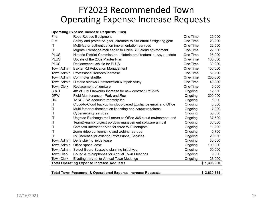#### FY2023 Recommended Town Operating Expense Increase Requests

#### **Operating Expense Increase Requests (EIRs)**

| Fire                                                                        | Rope Rescue Equipment                                                 | One-Time | 25,000  |  |  |  |  |  |  |
|-----------------------------------------------------------------------------|-----------------------------------------------------------------------|----------|---------|--|--|--|--|--|--|
| Fire                                                                        | Safety and protective gear, alternate to Structural firefighting gear | One-Time | 23,000  |  |  |  |  |  |  |
| ΙT                                                                          | Multi-factor authentication implementation services                   | One-Time | 22,500  |  |  |  |  |  |  |
| ΙT                                                                          | Migrate Exchange mail server to Office 365 cloud environment          | One-Time | 22,000  |  |  |  |  |  |  |
| <b>PLUS</b>                                                                 | Historic District Commission - historic architectural surveys update  | One-Time | 25,000  |  |  |  |  |  |  |
| <b>PLUS</b>                                                                 | Update of the 2009 Master Plan                                        | One-Time | 100,000 |  |  |  |  |  |  |
| <b>PLUS</b>                                                                 | Replacement vehicle for PLUS                                          | One-Time | 30,000  |  |  |  |  |  |  |
| Town Admin                                                                  | <b>Baxter Rd Relocation Management</b>                                | One-Time | 150,000 |  |  |  |  |  |  |
| Town Admin                                                                  | Professional services increase                                        | One-Time | 50,000  |  |  |  |  |  |  |
| Town Admin                                                                  | Commuter shuttle                                                      | One-Time | 200,000 |  |  |  |  |  |  |
| Town Admin                                                                  | Historic sidewalk preservation & repair study                         | One-Time | 40,000  |  |  |  |  |  |  |
| <b>Town Clerk</b>                                                           | Replacement of furniture                                              | One-Time | 5,000   |  |  |  |  |  |  |
| C & T                                                                       | 4th of July Fireworks increase for new contract FY23-25               | Ongoing  | 12,550  |  |  |  |  |  |  |
| <b>DPW</b>                                                                  | Field Maintenance - Park and Rec                                      | Ongoing  | 200,000 |  |  |  |  |  |  |
| <b>HR</b>                                                                   | TASC FSA accounts monthly fee                                         | Ongoing  | 6,000   |  |  |  |  |  |  |
| IT                                                                          | Cloud-to-Cloud backup for cloud-based Exchange email and Office       | Ongoing  | 8,800   |  |  |  |  |  |  |
| IT                                                                          | Multi-factor authentication licensing and hardware tokens             | Ongoing  | 17,000  |  |  |  |  |  |  |
| IT                                                                          | <b>Cybersecurity services</b>                                         | Ongoing  | 50,000  |  |  |  |  |  |  |
| ΙT                                                                          | Upgrade Exchange mail server to Office 365 cloud environment and      | Ongoing  | 37,500  |  |  |  |  |  |  |
| ΙT                                                                          | TeamDynamix project portfolio management software annual              | Ongoing  | 30,000  |  |  |  |  |  |  |
| IT                                                                          | Comcast Internet service for three WiFi hotspots                      | Ongoing  | 11,000  |  |  |  |  |  |  |
| IT                                                                          | Zoom video conferencing and webinar service                           | Ongoing  | 5,700   |  |  |  |  |  |  |
| IT                                                                          | 5% increase for existing Professional Services                        | Ongoing  | 20,850  |  |  |  |  |  |  |
| Town Admin                                                                  | Delta playing fields lease                                            | Ongoing  | 30,000  |  |  |  |  |  |  |
| Town Admin                                                                  | Office space lease                                                    | Ongoing  | 100,000 |  |  |  |  |  |  |
| Town Admin                                                                  | Select Board Strategic planning initiatives                           | Ongoing  | 50,000  |  |  |  |  |  |  |
| <b>Town Clerk</b>                                                           | Sound & microphones for Annual Town Meetings                          | Ongoing  | 9,000   |  |  |  |  |  |  |
| <b>Town Clerk</b>                                                           | E-voting service for Annual Town Meetings                             | Ongoing  | 26,000  |  |  |  |  |  |  |
| <b>Total Operating Expense Increase Requests</b><br>\$1,306,900             |                                                                       |          |         |  |  |  |  |  |  |
|                                                                             |                                                                       |          |         |  |  |  |  |  |  |
| Total Town Personnel & Operational Expense Increase Requests<br>\$3,630,654 |                                                                       |          |         |  |  |  |  |  |  |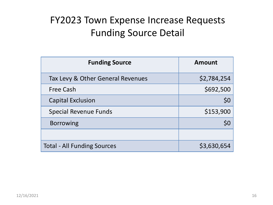# FY2023 Town Expense Increase Requests Funding Source Detail

| <b>Funding Source</b>              | <b>Amount</b> |
|------------------------------------|---------------|
| Tax Levy & Other General Revenues  | \$2,784,254   |
| <b>Free Cash</b>                   | \$692,500     |
| <b>Capital Exclusion</b>           | \$0           |
| <b>Special Revenue Funds</b>       | \$153,900     |
| <b>Borrowing</b>                   |               |
|                                    |               |
| <b>Total - All Funding Sources</b> | \$3,630,654   |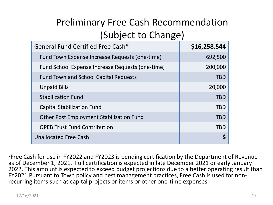# Preliminary Free Cash Recommendation (Subject to Change)

| General Fund Certified Free Cash*                | \$16,258,544 |
|--------------------------------------------------|--------------|
| Fund Town Expense Increase Requests (one-time)   | 692,500      |
| Fund School Expense Increase Requests (one-time) | 200,000      |
| <b>Fund Town and School Capital Requests</b>     | <b>TBD</b>   |
| <b>Unpaid Bills</b>                              | 20,000       |
| <b>Stabilization Fund</b>                        | <b>TBD</b>   |
| <b>Capital Stabilization Fund</b>                | <b>TBD</b>   |
| <b>Other Post Employment Stabilization Fund</b>  | <b>TBD</b>   |
| <b>OPEB Trust Fund Contribution</b>              | <b>TBD</b>   |
| <b>Unallocated Free Cash</b>                     |              |

\*Free Cash for use in FY2022 and FY2023 is pending certification by the Department of Revenue as of December 1, 2021. Full certification is expected in late December 2021 or early January 2022. This amount is expected to exceed budget projections due to a better operating result than FY2021 Pursuant to Town policy and best management practices, Free Cash is used for non- recurring items such as capital projects or items or other one-time expenses.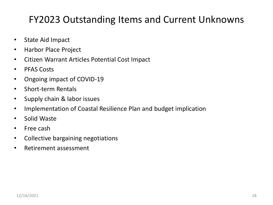### FY2023 Outstanding Items and Current Unknowns

- State Aid Impact
- Harbor Place Project
- Citizen Warrant Articles Potential Cost Impact
- PFAS Costs
- Ongoing impact of COVID-19
- Short-term Rentals
- Supply chain & labor issues
- Implementation of Coastal Resilience Plan and budget implication
- Solid Waste
- Free cash
- Collective bargaining negotiations
- Retirement assessment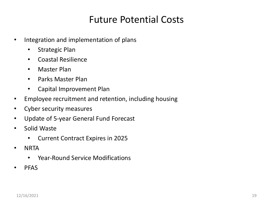#### Future Potential Costs

- Integration and implementation of plans
	- Strategic Plan
	- Coastal Resilience
	- Master Plan
	- Parks Master Plan
	- Capital Improvement Plan
- Employee recruitment and retention, including housing
- Cyber security measures
- Update of 5-year General Fund Forecast
- Solid Waste
	- Current Contract Expires in 2025
- NRTA
	- Year-Round Service Modifications
- PFAS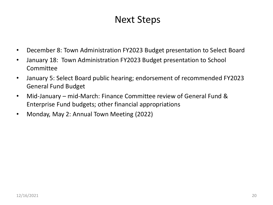#### Next Steps

- December 8: Town Administration FY2023 Budget presentation to Select Board
- January 18: Town Administration FY2023 Budget presentation to School Committee
- January 5: Select Board public hearing; endorsement of recommended FY2023 General Fund Budget
- Mid-January mid-March: Finance Committee review of General Fund & Enterprise Fund budgets; other financial appropriations
- Monday, May 2: Annual Town Meeting (2022)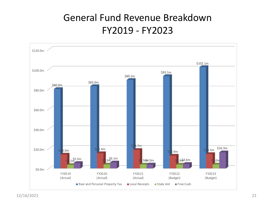### General Fund Revenue Breakdown FY2019 - FY2023

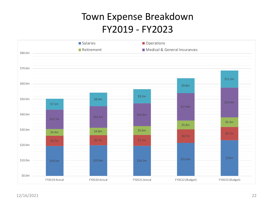### Town Expense Breakdown FY2019 - FY2023

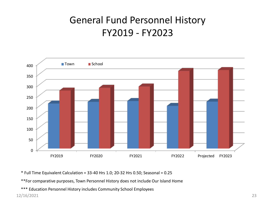## General Fund Personnel History FY2019 - FY2023



\* Full Time Equivalent Calculation = 33-40 Hrs 1.0; 20-32 Hrs 0.50; Seasonal = 0.25

\*\*For comparative purposes, Town Personnel History does not include Our Island Home

\*\*\* Education Personnel History includes Community School Employees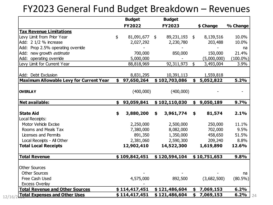#### FY2023 General Fund Budget Breakdown – Revenues

|                                                | <b>Budget</b><br><b>FY2022</b> | <b>Budget</b><br><b>FY2023</b> | \$ Change       | % Change    |
|------------------------------------------------|--------------------------------|--------------------------------|-----------------|-------------|
| <b>Tax Revenue Limitations</b>                 |                                |                                |                 |             |
| Levy Limit from Prior Year                     | \$<br>81,091,677 \$            | 89,231,193 \$                  | 8,139,516       | 10.0%       |
| Add: 2 1/2 % increase                          | 2,027,292                      | 2,230,780                      | 203,488         | 10.0%       |
| Add: Prop 2.5% operating override              |                                |                                |                 | na          |
| Add: new growth <i>estimate</i>                | 700,000                        | 850,000                        | 150,000         | 21.4%       |
| Add: operating override                        | 5,000,000                      |                                | (5,000,000)     | $(100.0\%)$ |
| Levy Limit for Current Year                    | 88,818,969                     | 92,311,973                     | \$<br>3,493,004 | 3.9%        |
| Add: Debt Exclusion                            | 8,831,295                      | 10,391,113                     | 1,559,818       |             |
| <b>Maximum Allowable Levy for Current Year</b> | \$97,650,264                   | \$102,703,086                  | \$5,052,822     | 5.2%        |
| <b>OVERLAY</b>                                 | (400,000)                      | (400,000)                      |                 |             |
| <b>Net available:</b>                          | \$<br>93,059,841               | \$102,110,030                  | \$9,050,189     | 9.7%        |
| <b>State Aid</b>                               | \$<br>3,880,200                | \$<br>3,961,774                | \$<br>81,574    | 2.1%        |
| Local Receipts:                                |                                |                                |                 |             |
| Motor Vehicle Excise                           | 2,250,000                      | 2,500,000                      | 250,000         | 11.1%       |
| Rooms and Meals Tax                            | 7,380,000                      | 8,082,000                      | 702,000         | 9.5%        |
| Licenses and Permits                           | 891,350                        | 1,350,000                      | 458,650         | 51.5%       |
| Local Receipts - All Other                     | 2,381,060                      | 2,590,300                      | 209,240         | 8.8%        |
| <b>Total Local Receipts</b>                    | 12,902,410                     | 14,522,300                     | 1,619,890       | 12.6%       |
| <b>Total Revenue</b>                           | \$109,842,451                  | \$120,594,104                  | \$10,751,653    | 9.8%        |
| <b>Other Sources</b>                           |                                |                                |                 |             |
| <b>Other Sources</b>                           |                                |                                |                 | na          |
| Free Cash Used                                 | 4,575,000                      | 892,500                        | (3,682,500)     | $(80.5\%)$  |
| <b>Excess Overlay</b>                          |                                |                                |                 |             |
| <b>Total Revenue and Other Sources</b>         | \$114,417,451                  | \$121,486,604                  | \$<br>7,069,153 | 6.2%        |
| <b>Total Expenses and Other Uses</b>           | \$114,417,451                  | \$121,486,604                  | \$<br>7,069,153 | 6.2%        |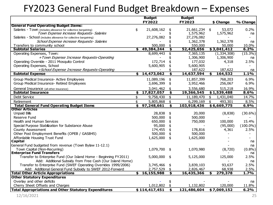### FY2023 General Fund Budget Breakdown – Expenses

|                                                                                         | <b>Budget</b>                   |    | <b>Budget</b>         |    |                    |              |
|-----------------------------------------------------------------------------------------|---------------------------------|----|-----------------------|----|--------------------|--------------|
|                                                                                         | FY2022                          |    | FY2023                |    | \$ Change          | % Change     |
| <b>General Fund Operating Budget Items:</b>                                             |                                 |    |                       |    |                    |              |
| Salaries - Town (includes allowance for collective bargaining)                          | \$<br>21,608,162                | \$ | 21,661,234 \$         |    | 53,072             | 0.2%         |
| Town Expense increase Requests-Salaries                                                 |                                 |    | 1,575,962             |    | 1,575,962          | na           |
| Salaries - School (includes allowance for collective bargaining)                        | 27,276,082                      |    | 27,276,082            |    |                    |              |
| School Expense increase Requests- Salaries                                              |                                 |    | 1,362,378             |    | 1,362,378          | na           |
| Transfers to community school                                                           | 500,000                         |    | 550,000               |    | 50,000             | 10.0%        |
| <b>Subtotal Salaries</b>                                                                | \$<br>49,384,244                | S  | 52,425,656            |    | \$3,041,412        | 6.2%         |
| Operating Expenses, Town:                                                               | 8,699,443                       | \$ | 7,365,135             |    | (1, 334, 308)      | $(15.3\%)$   |
| +Town Expense Increase Requests-Operating                                               |                                 |    | 1,306,900             |    | 1,306,900          | na           |
| Operating Override - 2011 Mosquito Control                                              | 172,714                         |    | 177,032               |    | 4,318              | 2.5%         |
| Operating Expenses, School                                                              | 5,600,905                       |    | 5,600,905             |    |                    |              |
| +School Expense Increase Requests-Operating<br><b>Subtotal Expense</b>                  | \$<br>14,473,062                | \$ | 187,622<br>14,637,594 |    | 187,622<br>164,532 | na<br>1.1%   |
|                                                                                         |                                 |    |                       | S  |                    |              |
| Group Medical Insurance- Active Employees                                               | 11,089,196                      | \$ | 11,857,399            |    | 768,203            | 6.9%         |
| Group Medical Insurance- Retired Employees                                              | 3,696,399                       | \$ | 3,952,466             |    | 256,067            | 6.9%         |
| General Insurance (all other insurance)                                                 | 3,041,462                       |    | 3,556,680             |    | 515,218            | 16.9%        |
| <b>Subtotal Insurance</b>                                                               | \$<br>17,827,057                | \$ | 19,366,545            |    | \$1,539,488        | 8.6%         |
| Debt Service                                                                            | \$<br>$\overline{9}$ , 758, 430 | \$ | 11,189,470            | \$ | 1,431,040          | 14.7%        |
| Retirement                                                                              | \$<br>5,805,868                 | \$ | 6,299,169             | \$ | 493,301            | 8.5%         |
| <b>Total General Fund Operating Budget Items</b>                                        | \$<br>97,248,661                | \$ | 103,918,436           |    | \$6,669,775        | 6.9%         |
| <b>Other Articles</b>                                                                   |                                 |    |                       |    |                    |              |
| <b>Unpaid Bills</b>                                                                     | 28,838                          | \$ | 20,000                |    | (8,838)            | $(30.6\%)$   |
| Reserve Fund                                                                            | 500,000                         | \$ | 500,000               |    |                    |              |
| Health and Human Services                                                               | 650,000                         | \$ | 750,000               |    | 100,000            | 15.4%        |
| Special Purpose Stabilization for Substance Abuse                                       | 95,000                          |    |                       |    | (95,000)           | $(100.0\%)$  |
| <b>County Assessment</b>                                                                | 174,455                         |    | 178,816               |    | 4,361              | 2.5%         |
| Other Post Employment Benefits (OPEB / GASB45)                                          | 500,000                         |    | 500,000               |    |                    |              |
| Affordable Housing Trust Fund                                                           | 1,625,000                       | \$ | 1,625,000             |    |                    |              |
| Capital                                                                                 |                                 |    |                       |    |                    | na           |
| General Fund budgeted from revenue (Town Bylaw 11-12.1)<br>Town Capital (Non-Recurring) | 1,079,700                       | \$ |                       |    |                    | na<br>(0.8%) |
| <b>Enterprise Fund Transfers</b>                                                        |                                 |    | 1,070,980             |    | (8,720)            | na           |
| Transfer to Enterprise Fund (Our Island Home - Beginning FY2011)                        | 5,000,000                       | \$ | 5,125,000             |    | 125,000            | 2.5%         |
| Add: Additional Subsidy from Free Cash (Our Island Home)                                |                                 |    |                       |    |                    | na           |
| Transfer to Enterprise Fund (SWEF Operating Overrides 1999/2006)                        | 3,745,466                       | \$ | 3,839,103             |    | 93,637             | 2.5%         |
| Add: Additional General Fund Subsidy to SWEF 2012-Forward                               | 2,757,529                       | \$ | 2,826,467             |    | 68,938             | 2.5%         |
| <b>Total Other Article Appropriations</b>                                               | \$<br>16,155,988                | \$ | 16,435,366            | \$ | 279,378            | 1.7%         |
| <b>Other Statutory Expenditures</b>                                                     |                                 |    |                       |    |                    |              |
| Overlay and other deficits                                                              |                                 |    |                       |    |                    | na           |
| Cherry Sheet Offsets and Charges                                                        | 1,012,802                       | \$ | 1,132,802             |    | 120,000            | 11.8%        |
| <b>Total Appropriations and Other Statutory Expenditures</b>                            | \$114,417,451                   | \$ | 121,486,604           |    | \$7,069,152        | 6.2%         |
| 12/16/2021                                                                              |                                 |    |                       |    |                    | 25           |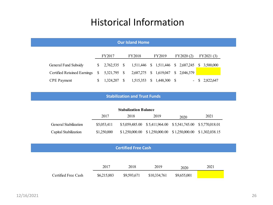#### Historical Information

| <b>Our Island Home</b>      |                                                              |              |          |                                                  |              |              |  |             |    |           |
|-----------------------------|--------------------------------------------------------------|--------------|----------|--------------------------------------------------|--------------|--------------|--|-------------|----|-----------|
|                             | FY2017<br>FY2019<br><b>FY2018</b><br>FY2020 (2)<br>FY2021(3) |              |          |                                                  |              |              |  |             |    |           |
| General Fund Subsidy        | $\mathbb{S}$                                                 | 2,762,535 \$ |          | 1,511,446 \$ 1,511,446 \$ 2,687,245 \$ 3,500,000 |              |              |  |             |    |           |
| Certified Retained Earnings | <sup>S</sup>                                                 | 5,321,795 \$ |          | 2,687,275 \$ 1,619,047                           |              |              |  | \$2,046,379 |    |           |
| <b>CPE</b> Payment          | S                                                            | 1,324,207    | <b>S</b> | 1,515,353                                        | <sup>S</sup> | 1,448,300 \$ |  | $\sim$      | S. | 2,822,647 |

#### **Stabilization and Trust Funds**

| <b>Stabalization Balance</b> |             |  |                                                                             |  |  |  |  |  |  |  |
|------------------------------|-------------|--|-----------------------------------------------------------------------------|--|--|--|--|--|--|--|
|                              | 2021        |  |                                                                             |  |  |  |  |  |  |  |
| General Stabilization        | \$5,053,411 |  |                                                                             |  |  |  |  |  |  |  |
| Capital Stabilization        | \$1,250,000 |  | $$1,250,000.00 \quad $1,250,000.00 \quad $1,250,000.00 \quad $1,302,038.15$ |  |  |  |  |  |  |  |

#### **Certified Free Cash**

|                     | 2017        | 2018        | 2019         | 2020        | 2021 |
|---------------------|-------------|-------------|--------------|-------------|------|
| Certified Free Cash | \$6,215,883 | \$9,593,671 | \$10,334,761 | \$9,655,001 |      |